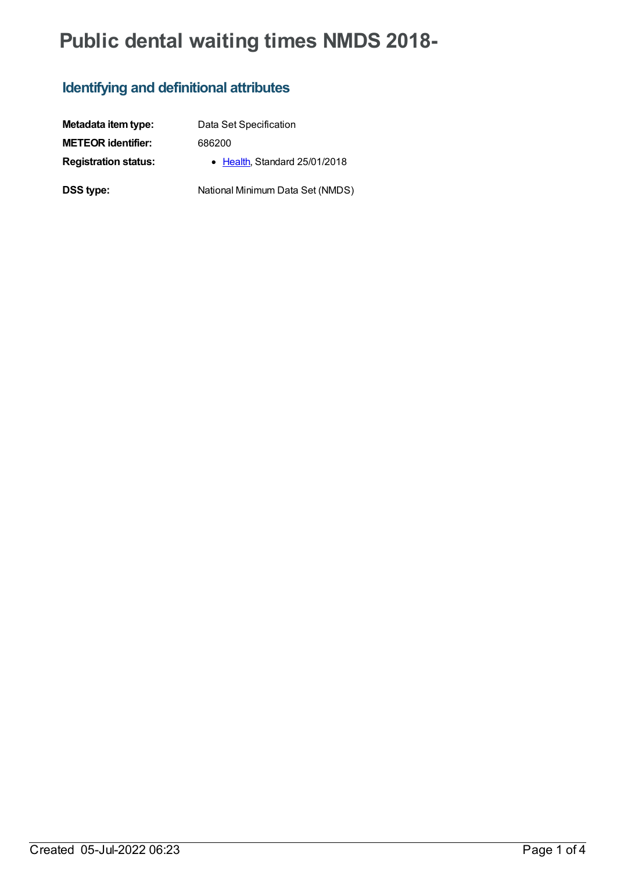# **Public dental waiting times NMDS 2018-**

### **Identifying and definitional attributes**

| Metadata item type:         | Data Set Specification           |
|-----------------------------|----------------------------------|
| <b>METEOR identifier:</b>   | 686200                           |
| <b>Registration status:</b> | • Health, Standard 25/01/2018    |
| <b>DSS type:</b>            | National Minimum Data Set (NMDS) |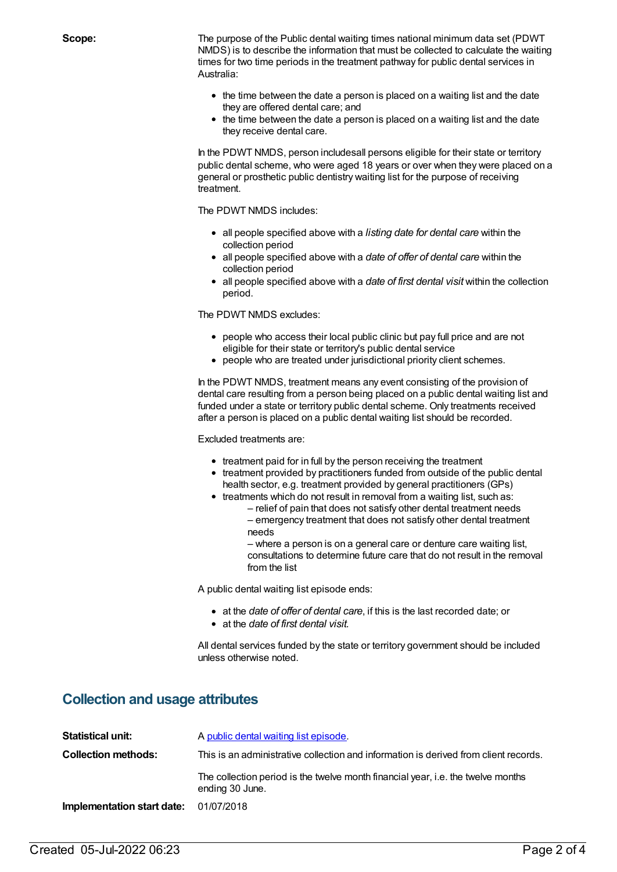**Scope:** The purpose of the Public dental waiting times national minimum data set (PDWT NMDS) is to describe the information that must be collected to calculate the waiting times for two time periods in the treatment pathway for public dental services in Australia:

- the time between the date a person is placed on a waiting list and the date they are offered dental care; and
- the time between the date a person is placed on a waiting list and the date they receive dental care.

In the PDWT NMDS, person includesall persons eligible for their state or territory public dental scheme, who were aged 18 years or over when they were placed on a general or prosthetic public dentistry waiting list for the purpose of receiving treatment.

The PDWT NMDS includes:

- all people specified above with a *listing date for dental care* within the collection period
- all people specified above with a *date of offer of dental care* within the collection period
- all people specified above with a *date of first dental visit* within the collection period.

The PDWT NMDS excludes:

- people who access their local public clinic but pay full price and are not eligible for their state or territory's public dental service
- people who are treated under jurisdictional priority client schemes.

In the PDWT NMDS, treatment means any event consisting of the provision of dental care resulting from a person being placed on a public dental waiting list and funded under a state or territory public dental scheme. Only treatments received after a person is placed on a public dental waiting list should be recorded.

Excluded treatments are:

- treatment paid for in full by the person receiving the treatment
- treatment provided by practitioners funded from outside of the public dental health sector, e.g. treatment provided by general practitioners (GPs)
- treatments which do not result in removal from a waiting list, such as:
	- relief of pain that does not satisfy other dental treatment needs
	- emergency treatment that does not satisfy other dental treatment needs

– where a person is on a general care or denture care waiting list, consultations to determine future care that do not result in the removal from the list

A public dental waiting list episode ends:

- at the *date of offer of dental care*, if this is the last recorded date; or
- at the *date of first dental visit.*

All dental services funded by the state or territory government should be included unless otherwise noted.

#### **Collection and usage attributes**

| Statistical unit:          | A public dental waiting list episode.                                                               |  |
|----------------------------|-----------------------------------------------------------------------------------------------------|--|
| <b>Collection methods:</b> | This is an administrative collection and information is derived from client records.                |  |
|                            | The collection period is the twelve month financial year, i.e. the twelve months<br>ending 30 June. |  |
| Implementation start date: | 01/07/2018                                                                                          |  |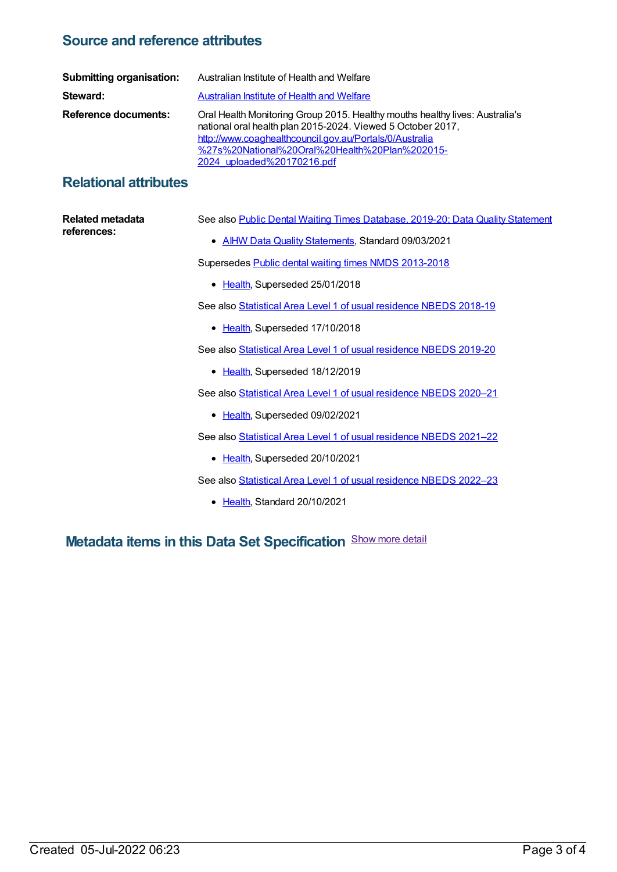#### **Source and reference attributes**

| <b>Submitting organisation:</b> | Australian Institute of Health and Welfare                                                                                                                                                                                                                                             |
|---------------------------------|----------------------------------------------------------------------------------------------------------------------------------------------------------------------------------------------------------------------------------------------------------------------------------------|
| Steward:                        | <b>Australian Institute of Health and Welfare</b>                                                                                                                                                                                                                                      |
| Reference documents:            | Oral Health Monitoring Group 2015. Healthy mouths healthy lives: Australia's<br>national oral health plan 2015-2024. Viewed 5 October 2017,<br>http://www.coaghealthcouncil.gov.au/Portals/0/Australia<br>%27s%20National%20Oral%20Health%20Plan%202015-<br>2024 uploaded%20170216.pdf |

#### **Relational attributes**

| Related metadata | See also Public Dental Waiting Times Database, 2019-20; Data Quality Statement |
|------------------|--------------------------------------------------------------------------------|
| references:      | • AIHW Data Quality Statements, Standard 09/03/2021                            |
|                  | Supersedes Public dental waiting times NMDS 2013-2018                          |
|                  | • Health, Superseded 25/01/2018                                                |
|                  | See also Statistical Area Level 1 of usual residence NBEDS 2018-19             |
|                  | • Health, Superseded 17/10/2018                                                |
|                  | See also Statistical Area Level 1 of usual residence NBEDS 2019-20             |
|                  | • Health, Superseded 18/12/2019                                                |
|                  | See also Statistical Area Level 1 of usual residence NBEDS 2020-21             |
|                  | Health, Superseded 09/02/2021<br>$\bullet$                                     |
|                  | See also Statistical Area Level 1 of usual residence NBEDS 2021-22             |
|                  | • Health, Superseded 20/10/2021                                                |
|                  | See also Statistical Area Level 1 of usual residence NBEDS 2022-23             |
|                  | • Health, Standard 20/10/2021                                                  |

## **Metadata items in this Data Set Specification** Show more detail